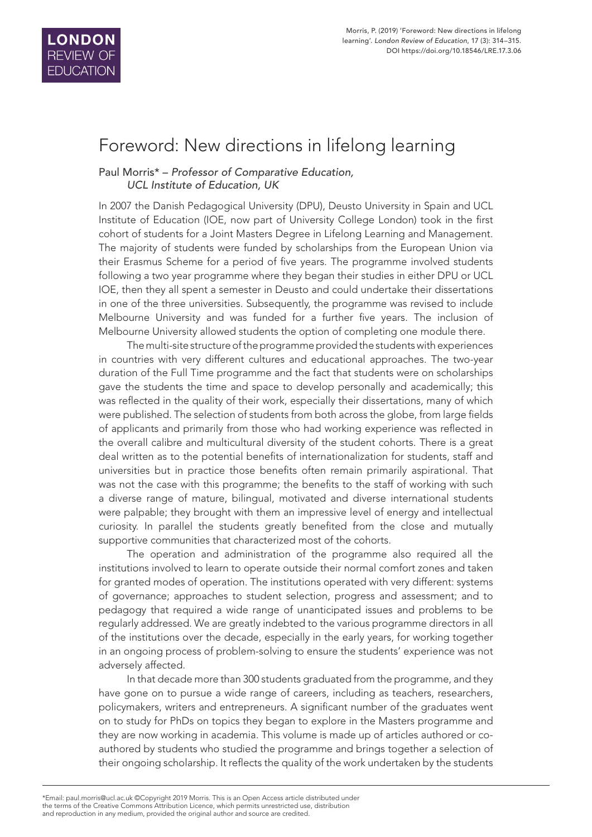

## Foreword: New directions in lifelong learning

## Paul Morris\* – *Professor of Comparative Education, UCL Institute of Education, UK*

In 2007 the Danish Pedagogical University (DPU), Deusto University in Spain and UCL Institute of Education (IOE, now part of University College London) took in the first cohort of students for a Joint Masters Degree in Lifelong Learning and Management. The majority of students were funded by scholarships from the European Union via their Erasmus Scheme for a period of five years. The programme involved students following a two year programme where they began their studies in either DPU or UCL IOE, then they all spent a semester in Deusto and could undertake their dissertations in one of the three universities. Subsequently, the programme was revised to include Melbourne University and was funded for a further five years. The inclusion of Melbourne University allowed students the option of completing one module there.

The multi-site structure of the programme provided the students with experiences in countries with very different cultures and educational approaches. The two-year duration of the Full Time programme and the fact that students were on scholarships gave the students the time and space to develop personally and academically; this was reflected in the quality of their work, especially their dissertations, many of which were published. The selection of students from both across the globe, from large fields of applicants and primarily from those who had working experience was reflected in the overall calibre and multicultural diversity of the student cohorts. There is a great deal written as to the potential benefits of internationalization for students, staff and universities but in practice those benefits often remain primarily aspirational. That was not the case with this programme; the benefits to the staff of working with such a diverse range of mature, bilingual, motivated and diverse international students were palpable; they brought with them an impressive level of energy and intellectual curiosity. In parallel the students greatly benefited from the close and mutually supportive communities that characterized most of the cohorts.

The operation and administration of the programme also required all the institutions involved to learn to operate outside their normal comfort zones and taken for granted modes of operation. The institutions operated with very different: systems of governance; approaches to student selection, progress and assessment; and to pedagogy that required a wide range of unanticipated issues and problems to be regularly addressed. We are greatly indebted to the various programme directors in all of the institutions over the decade, especially in the early years, for working together in an ongoing process of problem-solving to ensure the students' experience was not adversely affected.

In that decade more than 300 students graduated from the programme, and they have gone on to pursue a wide range of careers, including as teachers, researchers, policymakers, writers and entrepreneurs. A significant number of the graduates went on to study for PhDs on topics they began to explore in the Masters programme and they are now working in academia. This volume is made up of articles authored or coauthored by students who studied the programme and brings together a selection of their ongoing scholarship. It reflects the quality of the work undertaken by the students